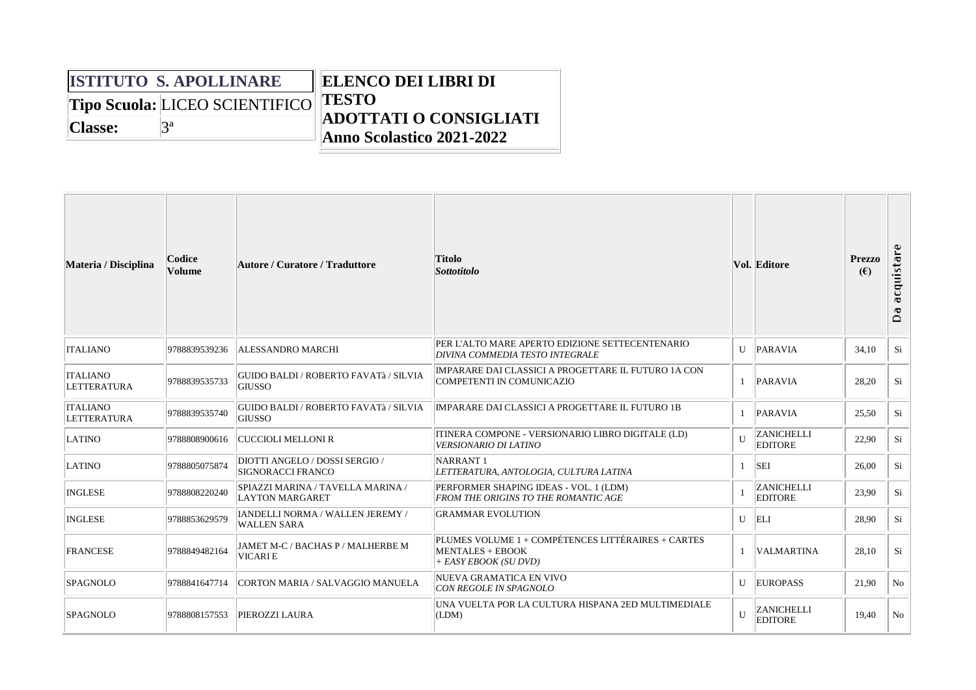|                | <b>ISTITUTO S. APOLLINARE</b>  | <b>ELENCO DEI LIBRI DI</b>                                 |  |  |  |  |
|----------------|--------------------------------|------------------------------------------------------------|--|--|--|--|
|                | Tipo Scuola: LICEO SCIENTIFICO | <b>TESTO</b>                                               |  |  |  |  |
| <b>Classe:</b> | za                             | <b>ADOTTATI O CONSIGLIATI</b><br>Anno Scolastico 2021-2022 |  |  |  |  |

| Materia / Disciplina                  | Codice<br><b>Volume</b> | Autore / Curatore / Traduttore                                | <b>Titolo</b><br><b>Sottotitolo</b>                                                                    |              | <b>Vol. Editore</b>                 | <b>Prezzo</b><br>(E) | acquistare<br>Ō<br>$\Box$ |
|---------------------------------------|-------------------------|---------------------------------------------------------------|--------------------------------------------------------------------------------------------------------|--------------|-------------------------------------|----------------------|---------------------------|
| <b>ITALIANO</b>                       | 9788839539236           | <b>ALESSANDRO MARCHI</b>                                      | PER L'ALTO MARE APERTO EDIZIONE SETTECENTENARIO<br>DIVINA COMMEDIA TESTO INTEGRALE                     |              | U PARAVIA                           | 34.10                | Si                        |
| <b>ITALIANO</b><br>LETTERATURA        | 9788839535733           | <b>GUIDO BALDI / ROBERTO FAVATà / SILVIA</b><br><b>GIUSSO</b> | IMPARARE DAI CLASSICI A PROGETTARE IL FUTURO 1A CON<br><b>COMPETENTI IN COMUNICAZIO</b>                |              | 1   PARAVIA                         | 28,20                | Si                        |
| <b>ITALIANO</b><br><b>LETTERATURA</b> | 9788839535740           | <b>GUIDO BALDI / ROBERTO FAVATà / SILVIA</b><br><b>GIUSSO</b> | <b>IMPARARE DAI CLASSICI A PROGETTARE IL FUTURO 1B</b>                                                 |              | 1 PARAVIA                           | 25,50                | Si                        |
| LATINO                                | 9788808900616           | <b>CUCCIOLI MELLONI R</b>                                     | ITINERA COMPONE - VERSIONARIO LIBRO DIGITALE (LD)<br><b>VERSIONARIO DI LATINO</b>                      | II           | <b>ZANICHELLI</b><br><b>EDITORE</b> | 22,90                | Si                        |
| <b>LATINO</b>                         | 9788805075874           | DIOTTI ANGELO / DOSSI SERGIO /<br><b>SIGNORACCI FRANCO</b>    | NARRANT <sub>1</sub><br>LETTERATURA, ANTOLOGIA, CULTURA LATINA                                         |              | SEI                                 | 26,00                | Si                        |
| <b>INGLESE</b>                        | 9788808220240           | SPIAZZI MARINA / TAVELLA MARINA /<br><b>LAYTON MARGARET</b>   | PERFORMER SHAPING IDEAS - VOL. 1 (LDM)<br><b>FROM THE ORIGINS TO THE ROMANTIC AGE</b>                  |              | <b>ZANICHELLI</b><br><b>EDITORE</b> | 23,90                | Si                        |
| <b>INGLESE</b>                        | 9788853629579           | IANDELLI NORMA / WALLEN JEREMY /<br><b>WALLEN SARA</b>        | <b>GRAMMAR EVOLUTION</b>                                                                               |              | $U$ ELI                             | 28,90                | Si                        |
| FRANCESE                              | 9788849482164           | JAMET M-C / BACHAS P / MALHERBE M<br><b>VICARIE</b>           | PLUMES VOLUME 1 + COMPÉTENCES LITTÉRAIRES + CARTES<br><b>MENTALES + EBOOK</b><br>+ EASY EBOOK (SU DVD) |              | <b>VALMARTINA</b>                   | 28,10                | Si                        |
| <b>SPAGNOLO</b>                       | 9788841647714           | CORTON MARIA / SALVAGGIO MANUELA                              | NUEVA GRAMATICA EN VIVO<br><b>CON REGOLE IN SPAGNOLO</b>                                               | $\mathbf{U}$ | EUROPASS                            | 21,90                | No                        |
| <b>SPAGNOLO</b>                       | 9788808157553           | <b>PIEROZZI LAURA</b>                                         | UNA VUELTA POR LA CULTURA HISPANA 2ED MULTIMEDIALE<br>(LDM)                                            | $\mathbf{U}$ | <b>ZANICHELLI</b><br><b>EDITORE</b> | 19,40                | No                        |